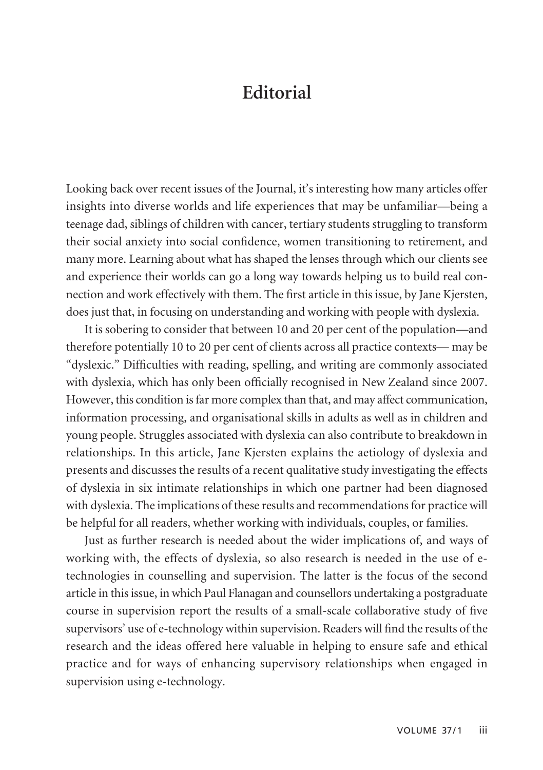## **Editorial**

Looking back over recent issues of the Journal, it's interesting how many articles offer insights into diverse worlds and life experiences that may be unfamiliar—being a teenage dad, siblings of children with cancer, tertiary students struggling to transform their social anxiety into social confidence, women transitioning to retirement, and many more. Learning about what has shaped the lenses through which our clients see and experience their worlds can go a long way towards helping us to build real connection and work effectively with them. The first article in this issue, by Jane Kjersten, does just that, in focusing on understanding and working with people with dyslexia.

It is sobering to consider that between 10 and 20 per cent of the population—and therefore potentially 10 to 20 per cent of clients across all practice contexts— may be "dyslexic." Difficulties with reading, spelling, and writing are commonly associated with dyslexia, which has only been officially recognised in New Zealand since 2007. However, this condition is far more complex than that, and may affect communication, information processing, and organisational skills in adults as well as in children and young people. Struggles associated with dyslexia can also contribute to breakdown in relationships. In this article, Jane Kjersten explains the aetiology of dyslexia and presents and discusses the results of a recent qualitative study investigating the effects of dyslexia in six intimate relationships in which one partner had been diagnosed with dyslexia. The implications of these results and recommendations for practice will be helpful for all readers, whether working with individuals, couples, or families.

Just as further research is needed about the wider implications of, and ways of working with, the effects of dyslexia, so also research is needed in the use of etechnologies in counselling and supervision. The latter is the focus of the second article in this issue, in which Paul Flanagan and counsellors undertaking a postgraduate course in supervision report the results of a small-scale collaborative study of five supervisors' use of e-technology within supervision. Readers will find the results of the research and the ideas offered here valuable in helping to ensure safe and ethical practice and for ways of enhancing supervisory relationships when engaged in supervision using e-technology.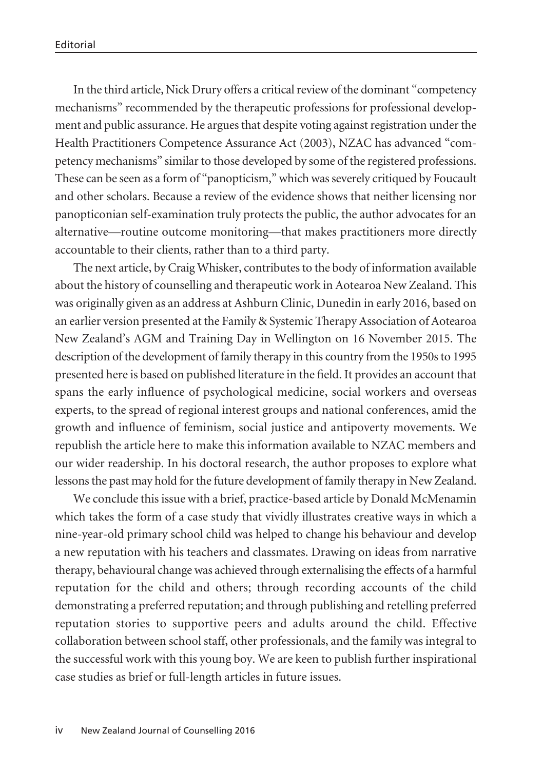In the third article, Nick Drury offers a critical review of the dominant "competency mechanisms" recommended by the therapeutic professions for professional develop ment and public assurance. He argues that despite voting against registration under the Health Practitioners Competence Assurance Act (2003), NZAC has advanced "competency mechanisms" similar to those developed by some of the registered professions. These can be seen as a form of "panopticism," which was severely critiqued by Foucault and other scholars. Because a review of the evidence shows that neither licensing nor panopticonian self-examination truly protects the public, the author advocates for an alternative—routine outcome monitoring—that makes practitioners more directly accountable to their clients, rather than to a third party.

The next article, by Craig Whisker, contributes to the body of information available about the history of counselling and therapeutic work in Aotearoa New Zealand. This was originally given as an address at Ashburn Clinic, Dunedin in early 2016, based on an earlier version presented at the Family & Systemic Therapy Association of Aotearoa New Zealand's AGM and Training Day in Wellington on 16 November 2015. The description of the development of family therapy in this country from the 1950s to 1995 presented here is based on published literature in the field. It provides an account that spans the early influence of psychological medicine, social workers and overseas experts, to the spread of regional interest groups and national conferences, amid the growth and influence of feminism, social justice and antipoverty movements. We republish the article here to make this information available to NZAC members and our wider readership. In his doctoral research, the author proposes to explore what lessons the past may hold for the future development of family therapy in New Zealand.

We conclude this issue with a brief, practice-based article by Donald McMenamin which takes the form of a case study that vividly illustrates creative ways in which a nine-year-old primary school child was helped to change his behaviour and develop a new reputation with his teachers and classmates. Drawing on ideas from narrative therapy, behavioural change was achieved through externalising the effects of a harmful reputation for the child and others; through recording accounts of the child demonstrating a preferred reputation; and through publishing and retelling preferred reputation stories to supportive peers and adults around the child. Effective collaboration between school staff, other professionals, and the family was integral to the successful work with this young boy. We are keen to publish further inspirational case studies as brief or full-length articles in future issues.